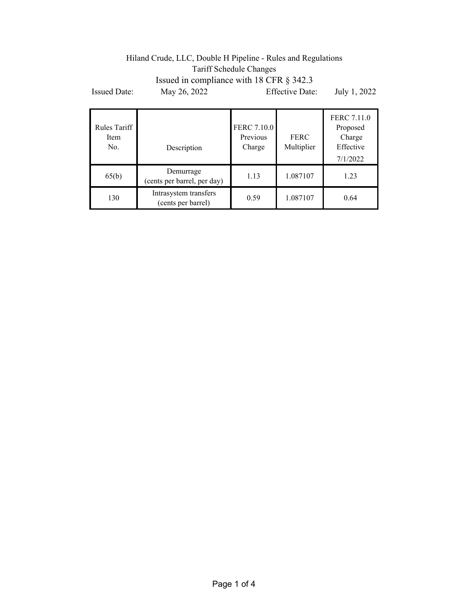## Hiland Crude, LLC, Double H Pipeline - Rules and Regulations Tariff Schedule Changes Issued in compliance with 18 CFR § 342.3 Issued Date: May 26, 2022 Effective Date: July 1, 2022

| Rules Tariff<br>Item<br>No. | Description                                 | <b>FERC 7.10.0</b><br>Previous<br>Charge | FERC<br>Multiplier | FERC 7.11.0<br>Proposed<br>Charge<br>Effective<br>7/1/2022 |
|-----------------------------|---------------------------------------------|------------------------------------------|--------------------|------------------------------------------------------------|
| 65(b)                       | Demurrage<br>(cents per barrel, per day)    | 1.13                                     | 1.087107           | 1.23                                                       |
| 130                         | Intrasystem transfers<br>(cents per barrel) | 0.59                                     | 1.087107           | 0.64                                                       |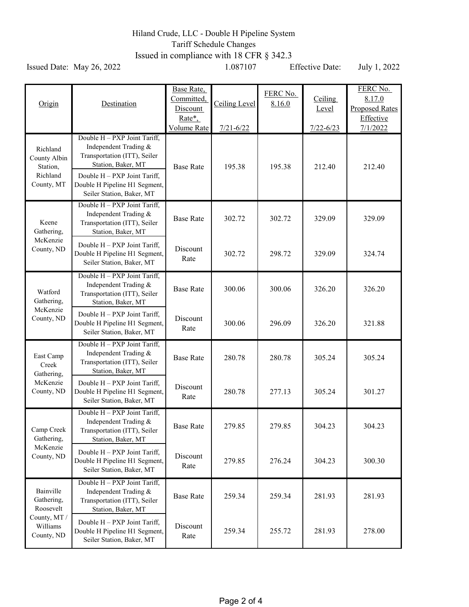## Hiland Crude, LLC - Double H Pipeline System Tariff Schedule Changes Issued in compliance with 18 CFR § 342.3

Issued Date: May 26, 2022 1.087107 Effective Date: July 1, 2022

| Origin                                                                         | Destination                                                                                                                                                                                               | Base Rate,<br>Committed,<br>Discount<br>Rate*,<br><b>Volume Rate</b> | Ceiling Level<br>$7/21 - 6/22$ | FERC No.<br>8.16.0 | <b>Ceiling</b><br>Level<br>$7/22 - 6/23$ | FERC No.<br>8.17.0<br><b>Proposed Rates</b><br>Effective<br>7/1/2022 |
|--------------------------------------------------------------------------------|-----------------------------------------------------------------------------------------------------------------------------------------------------------------------------------------------------------|----------------------------------------------------------------------|--------------------------------|--------------------|------------------------------------------|----------------------------------------------------------------------|
| Richland<br>County Albin<br>Station,<br>Richland<br>County, MT                 | Double H - PXP Joint Tariff,<br>Independent Trading &<br>Transportation (ITT), Seiler<br>Station, Baker, MT<br>Double H - PXP Joint Tariff,<br>Double H Pipeline H1 Segment,<br>Seiler Station, Baker, MT | <b>Base Rate</b>                                                     | 195.38                         | 195.38             | 212.40                                   | 212.40                                                               |
| Keene<br>Gathering,<br>McKenzie<br>County, ND                                  | Double H - PXP Joint Tariff,<br>Independent Trading &<br>Transportation (ITT), Seiler<br>Station, Baker, MT                                                                                               | <b>Base Rate</b>                                                     | 302.72                         | 302.72             | 329.09                                   | 329.09                                                               |
|                                                                                | Double H - PXP Joint Tariff,<br>Double H Pipeline H1 Segment,<br>Seiler Station, Baker, MT                                                                                                                | Discount<br>Rate                                                     | 302.72                         | 298.72             | 329.09                                   | 324.74                                                               |
| Watford<br>Gathering,<br>McKenzie<br>County, ND                                | Double H - PXP Joint Tariff,<br>Independent Trading &<br>Transportation (ITT), Seiler<br>Station, Baker, MT                                                                                               | <b>Base Rate</b>                                                     | 300.06                         | 300.06             | 326.20                                   | 326.20                                                               |
|                                                                                | Double H - PXP Joint Tariff,<br>Double H Pipeline H1 Segment,<br>Seiler Station, Baker, MT                                                                                                                | Discount<br>Rate                                                     | 300.06                         | 296.09             | 326.20                                   | 321.88                                                               |
| East Camp<br>Creek<br>Gathering,<br>McKenzie<br>County, ND                     | Double H - PXP Joint Tariff,<br>Independent Trading &<br>Transportation (ITT), Seiler<br>Station, Baker, MT                                                                                               | <b>Base Rate</b>                                                     | 280.78                         | 280.78             | 305.24                                   | 305.24                                                               |
|                                                                                | Double H - PXP Joint Tariff,<br>Double H Pipeline H1 Segment,<br>Seiler Station, Baker, MT                                                                                                                | Discount<br>Rate                                                     | 280.78                         | 277.13             | 305.24                                   | 301.27                                                               |
| Camp Creek<br>Gathering,<br>McKenzie<br>County, ND                             | Double H - PXP Joint Tariff,<br>Independent Trading &<br>Transportation (ITT), Seiler<br>Station, Baker, MT                                                                                               | <b>Base Rate</b>                                                     | 279.85                         | 279.85             | 304.23                                   | 304.23                                                               |
|                                                                                | Double H - PXP Joint Tariff,<br>Double H Pipeline H1 Segment,<br>Seiler Station, Baker, MT                                                                                                                | Discount<br>Rate                                                     | 279.85                         | 276.24             | 304.23                                   | 300.30                                                               |
| Bainville<br>Gathering,<br>Roosevelt<br>County, MT /<br>Williams<br>County, ND | Double H - PXP Joint Tariff,<br>Independent Trading &<br>Transportation (ITT), Seiler<br>Station, Baker, MT                                                                                               | <b>Base Rate</b>                                                     | 259.34                         | 259.34             | 281.93                                   | 281.93                                                               |
|                                                                                | Double H - PXP Joint Tariff,<br>Double H Pipeline H1 Segment,<br>Seiler Station, Baker, MT                                                                                                                | Discount<br>Rate                                                     | 259.34                         | 255.72             | 281.93                                   | 278.00                                                               |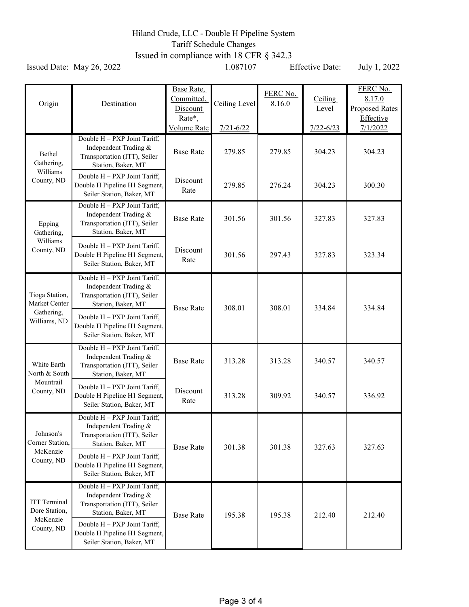## Hiland Crude, LLC - Double H Pipeline System Tariff Schedule Changes Issued in compliance with 18 CFR § 342.3

Issued Date: May 26, 2022 1.087107 Effective Date: July 1, 2022

| Origin                                                         | Destination                                                                                                 | Base Rate,<br>Committed,<br>Discount<br>Rate*,<br>Volume Rate | Ceiling Level<br>$7/21 - 6/22$ | FERC No.<br>8.16.0 | Ceiling<br>Level<br>$7/22 - 6/23$ | FERC No.<br>8.17.0<br><b>Proposed Rates</b><br>Effective<br>7/1/2022 |
|----------------------------------------------------------------|-------------------------------------------------------------------------------------------------------------|---------------------------------------------------------------|--------------------------------|--------------------|-----------------------------------|----------------------------------------------------------------------|
| Bethel<br>Gathering,<br>Williams<br>County, ND                 | Double H - PXP Joint Tariff,<br>Independent Trading &<br>Transportation (ITT), Seiler<br>Station, Baker, MT | <b>Base Rate</b>                                              | 279.85                         | 279.85             | 304.23                            | 304.23                                                               |
|                                                                | Double H - PXP Joint Tariff,<br>Double H Pipeline H1 Segment,<br>Seiler Station, Baker, MT                  | Discount<br>Rate                                              | 279.85                         | 276.24             | 304.23                            | 300.30                                                               |
| Epping<br>Gathering,<br>Williams<br>County, ND                 | Double H - PXP Joint Tariff,<br>Independent Trading &<br>Transportation (ITT), Seiler<br>Station, Baker, MT | <b>Base Rate</b>                                              | 301.56                         | 301.56             | 327.83                            | 327.83                                                               |
|                                                                | Double H - PXP Joint Tariff,<br>Double H Pipeline H1 Segment,<br>Seiler Station, Baker, MT                  | Discount<br>Rate                                              | 301.56                         | 297.43             | 327.83                            | 323.34                                                               |
| Tioga Station,<br>Market Center<br>Gathering,<br>Williams, ND  | Double H - PXP Joint Tariff,<br>Independent Trading &<br>Transportation (ITT), Seiler<br>Station, Baker, MT | <b>Base Rate</b>                                              | 308.01                         | 308.01             | 334.84                            | 334.84                                                               |
|                                                                | Double H - PXP Joint Tariff,<br>Double H Pipeline H1 Segment,<br>Seiler Station, Baker, MT                  |                                                               |                                |                    |                                   |                                                                      |
| White Earth<br>North & South<br>Mountrail<br>County, ND        | Double H - PXP Joint Tariff,<br>Independent Trading &<br>Transportation (ITT), Seiler<br>Station, Baker, MT | <b>Base Rate</b>                                              | 313.28                         | 313.28             | 340.57                            | 340.57                                                               |
|                                                                | Double H - PXP Joint Tariff,<br>Double H Pipeline H1 Segment,<br>Seiler Station, Baker, MT                  | Discount<br>Rate                                              | 313.28                         | 309.92             | 340.57                            | 336.92                                                               |
| Johnson's<br>Corner Station,<br>McKenzie<br>County, ND         | Double H - PXP Joint Tariff,<br>Independent Trading &<br>Transportation (ITT), Seiler<br>Station, Baker, MT | <b>Base Rate</b>                                              | 301.38                         | 301.38             | 327.63                            | 327.63                                                               |
|                                                                | Double H - PXP Joint Tariff,<br>Double H Pipeline H1 Segment,<br>Seiler Station, Baker, MT                  |                                                               |                                |                    |                                   |                                                                      |
| <b>ITT</b> Terminal<br>Dore Station,<br>McKenzie<br>County, ND | Double H - PXP Joint Tariff,<br>Independent Trading &<br>Transportation (ITT), Seiler<br>Station, Baker, MT | <b>Base Rate</b>                                              | 195.38                         | 195.38             | 212.40                            | 212.40                                                               |
|                                                                | Double H - PXP Joint Tariff,<br>Double H Pipeline H1 Segment,<br>Seiler Station, Baker, MT                  |                                                               |                                |                    |                                   |                                                                      |